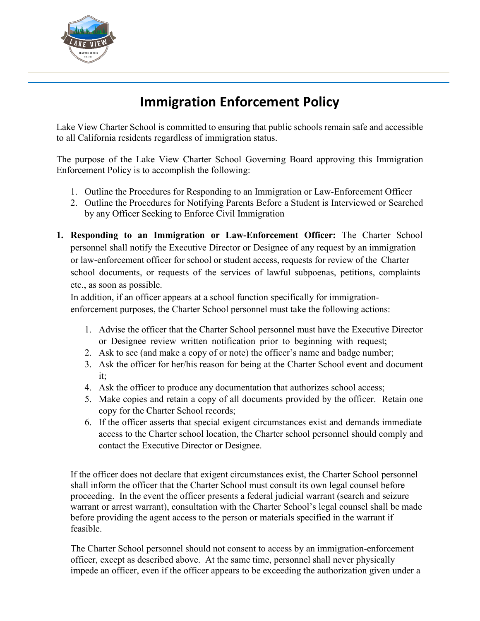

## **Immigration Enforcement Policy**

Lake View Charter School is committed to ensuring that public schools remain safe and accessible to all California residents regardless of immigration status.

The purpose of the Lake View Charter School Governing Board approving this Immigration Enforcement Policy is to accomplish the following:

- 1. Outline the Procedures for Responding to an Immigration or Law-Enforcement Officer
- 2. Outline the Procedures for Notifying Parents Before a Student is Interviewed or Searched by any Officer Seeking to Enforce Civil Immigration
- **1. Responding to an Immigration or Law-Enforcement Officer:** The Charter School personnel shall notify the Executive Director or Designee of any request by an immigration or law-enforcement officer for school or student access, requests for review of the Charter school documents, or requests of the services of lawful subpoenas, petitions, complaints etc., as soon as possible.

In addition, if an officer appears at a school function specifically for immigrationenforcement purposes, the Charter School personnel must take the following actions:

- 1. Advise the officer that the Charter School personnel must have the Executive Director or Designee review written notification prior to beginning with request;
- 2. Ask to see (and make a copy of or note) the officer's name and badge number;
- 3. Ask the officer for her/his reason for being at the Charter School event and document it;
- 4. Ask the officer to produce any documentation that authorizes school access;
- 5. Make copies and retain a copy of all documents provided by the officer. Retain one copy for the Charter School records;
- 6. If the officer asserts that special exigent circumstances exist and demands immediate access to the Charter school location, the Charter school personnel should comply and contact the Executive Director or Designee.

If the officer does not declare that exigent circumstances exist, the Charter School personnel shall inform the officer that the Charter School must consult its own legal counsel before proceeding. In the event the officer presents a federal judicial warrant (search and seizure warrant or arrest warrant), consultation with the Charter School's legal counsel shall be made before providing the agent access to the person or materials specified in the warrant if feasible.

The Charter School personnel should not consent to access by an immigration-enforcement officer, except as described above. At the same time, personnel shall never physically impede an officer, even if the officer appears to be exceeding the authorization given under a